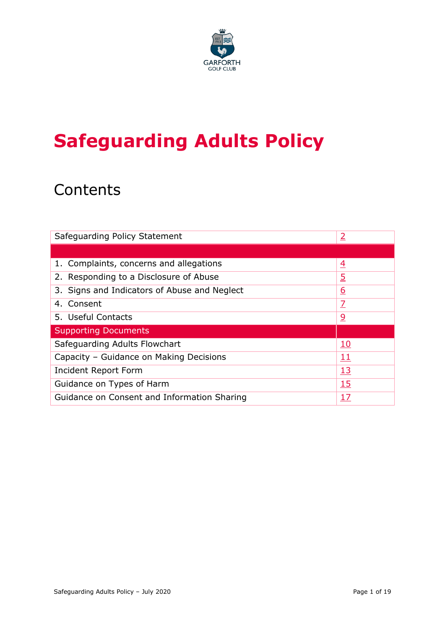

# **Safeguarding Adults Policy**

## **Contents**

| Safeguarding Policy Statement                | 2                       |
|----------------------------------------------|-------------------------|
|                                              |                         |
| 1. Complaints, concerns and allegations      | $\overline{4}$          |
| 2. Responding to a Disclosure of Abuse       | <u>5</u>                |
| 3. Signs and Indicators of Abuse and Neglect | <u>6</u>                |
| 4. Consent                                   | $\overline{\mathbf{Z}}$ |
| 5. Useful Contacts                           | <u>୨</u>                |
| <b>Supporting Documents</b>                  |                         |
| Safeguarding Adults Flowchart                | <u> 10</u>              |
| Capacity - Guidance on Making Decisions      | 11                      |
| Incident Report Form                         | <u>13</u>               |
| <b>15</b><br>Guidance on Types of Harm       |                         |
| Guidance on Consent and Information Sharing  | 17                      |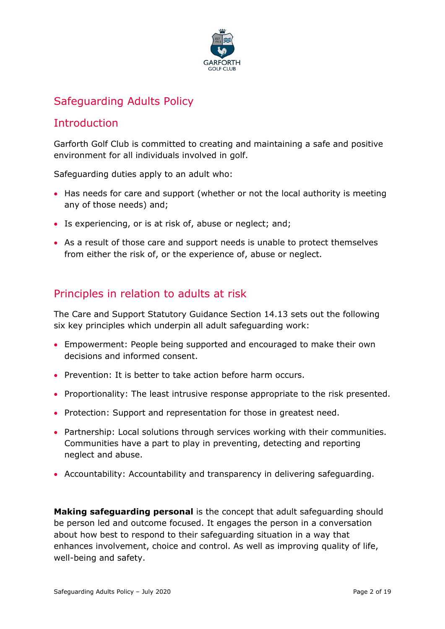

## Safeguarding Adults Policy

## <span id="page-1-0"></span>**Introduction**

Garforth Golf Club is committed to creating and maintaining a safe and positive environment for all individuals involved in golf.

Safeguarding duties apply to an adult who:

- Has needs for care and support (whether or not the local authority is meeting any of those needs) and;
- Is experiencing, or is at risk of, abuse or neglect; and;
- As a result of those care and support needs is unable to protect themselves from either the risk of, or the experience of, abuse or neglect.

## Principles in relation to adults at risk

The Care and Support Statutory Guidance Section 14.13 sets out the following six key principles which underpin all adult safeguarding work:

- Empowerment: People being supported and encouraged to make their own decisions and informed consent.
- Prevention: It is better to take action before harm occurs.
- Proportionality: The least intrusive response appropriate to the risk presented.
- Protection: Support and representation for those in greatest need.
- Partnership: Local solutions through services working with their communities. Communities have a part to play in preventing, detecting and reporting neglect and abuse.
- Accountability: Accountability and transparency in delivering safeguarding.

**Making safeguarding personal** is the concept that adult safeguarding should be person led and outcome focused. It engages the person in a conversation about how best to respond to their safeguarding situation in a way that enhances involvement, choice and control. As well as improving quality of life, well-being and safety.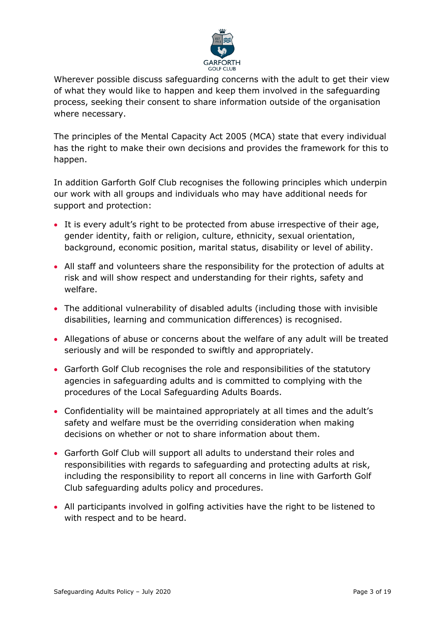

Wherever possible discuss safeguarding concerns with the adult to get their view of what they would like to happen and keep them involved in the safeguarding process, seeking their consent to share information outside of the organisation where necessary.

The principles of the Mental Capacity Act 2005 (MCA) state that every individual has the right to make their own decisions and provides the framework for this to happen.

In addition Garforth Golf Club recognises the following principles which underpin our work with all groups and individuals who may have additional needs for support and protection:

- It is every adult's right to be protected from abuse irrespective of their age, gender identity, faith or religion, culture, ethnicity, sexual orientation, background, economic position, marital status, disability or level of ability.
- All staff and volunteers share the responsibility for the protection of adults at risk and will show respect and understanding for their rights, safety and welfare.
- The additional vulnerability of disabled adults (including those with invisible disabilities, learning and communication differences) is recognised.
- Allegations of abuse or concerns about the welfare of any adult will be treated seriously and will be responded to swiftly and appropriately.
- Garforth Golf Club recognises the role and responsibilities of the statutory agencies in safeguarding adults and is committed to complying with the procedures of the Local Safeguarding Adults Boards.
- Confidentiality will be maintained appropriately at all times and the adult's safety and welfare must be the overriding consideration when making decisions on whether or not to share information about them.
- Garforth Golf Club will support all adults to understand their roles and responsibilities with regards to safeguarding and protecting adults at risk, including the responsibility to report all concerns in line with Garforth Golf Club safeguarding adults policy and procedures.
- All participants involved in golfing activities have the right to be listened to with respect and to be heard.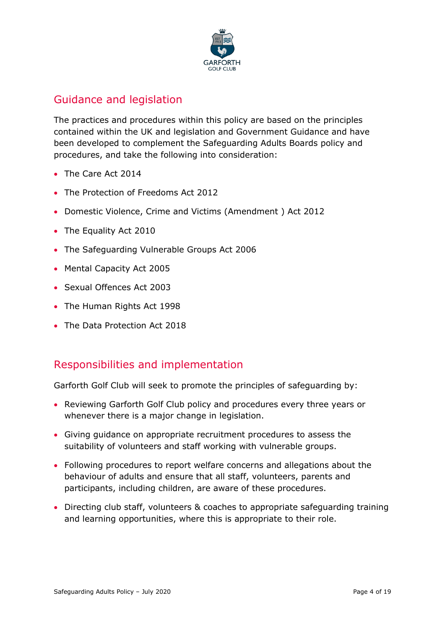

## Guidance and legislation

The practices and procedures within this policy are based on the principles contained within the UK and legislation and Government Guidance and have been developed to complement the Safeguarding Adults Boards policy and procedures, and take the following into consideration:

- The Care Act 2014
- The Protection of Freedoms Act 2012
- Domestic Violence, Crime and Victims (Amendment ) Act 2012
- The Equality Act 2010
- The Safeguarding Vulnerable Groups Act 2006
- Mental Capacity Act 2005
- Sexual Offences Act 2003
- The Human Rights Act 1998
- The Data Protection Act 2018

## Responsibilities and implementation

Garforth Golf Club will seek to promote the principles of safeguarding by:

- Reviewing Garforth Golf Club policy and procedures every three years or whenever there is a major change in legislation.
- Giving guidance on appropriate recruitment procedures to assess the suitability of volunteers and staff working with vulnerable groups.
- Following procedures to report welfare concerns and allegations about the behaviour of adults and ensure that all staff, volunteers, parents and participants, including children, are aware of these procedures.
- Directing club staff, volunteers & coaches to appropriate safeguarding training and learning opportunities, where this is appropriate to their role.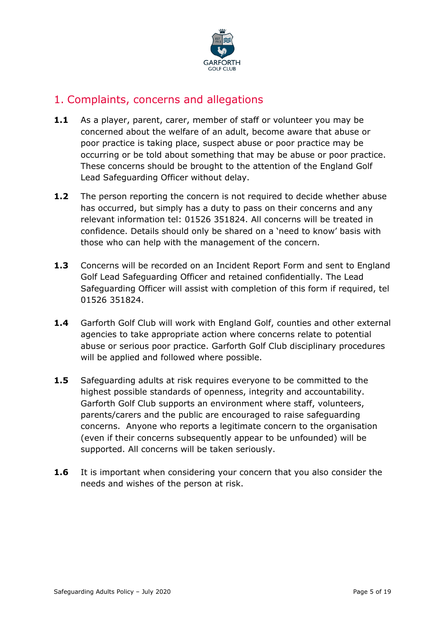

## <span id="page-4-0"></span>1. Complaints, concerns and allegations

- **1.1** As a player, parent, carer, member of staff or volunteer you may be concerned about the welfare of an adult, become aware that abuse or poor practice is taking place, suspect abuse or poor practice may be occurring or be told about something that may be abuse or poor practice. These concerns should be brought to the attention of the England Golf Lead Safeguarding Officer without delay.
- **1.2** The person reporting the concern is not required to decide whether abuse has occurred, but simply has a duty to pass on their concerns and any relevant information tel: 01526 351824. All concerns will be treated in confidence. Details should only be shared on a 'need to know' basis with those who can help with the management of the concern.
- **1.3** Concerns will be recorded on an Incident Report Form and sent to England Golf Lead Safeguarding Officer and retained confidentially. The Lead Safeguarding Officer will assist with completion of this form if required, tel 01526 351824.
- **1.4** Garforth Golf Club will work with England Golf, counties and other external agencies to take appropriate action where concerns relate to potential abuse or serious poor practice. Garforth Golf Club disciplinary procedures will be applied and followed where possible.
- **1.5** Safeguarding adults at risk requires everyone to be committed to the highest possible standards of openness, integrity and accountability. Garforth Golf Club supports an environment where staff, volunteers, parents/carers and the public are encouraged to raise safeguarding concerns. Anyone who reports a legitimate concern to the organisation (even if their concerns subsequently appear to be unfounded) will be supported. All concerns will be taken seriously.
- **1.6** It is important when considering your concern that you also consider the needs and wishes of the person at risk.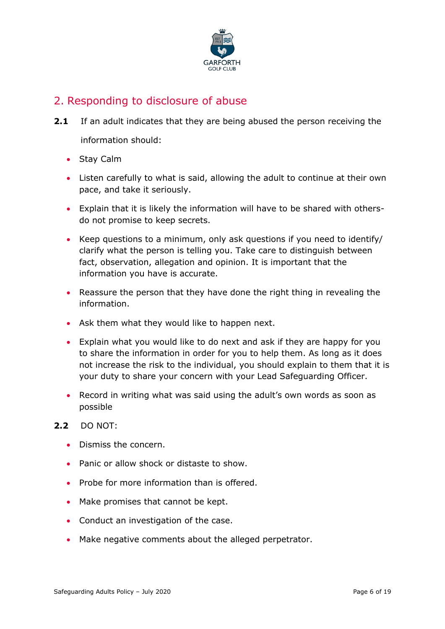

## <span id="page-5-0"></span>2. Responding to disclosure of abuse

- **2.1** If an adult indicates that they are being abused the person receiving the information should:
	- Stay Calm
	- Listen carefully to what is said, allowing the adult to continue at their own pace, and take it seriously.
	- Explain that it is likely the information will have to be shared with othersdo not promise to keep secrets.
	- Keep questions to a minimum, only ask questions if you need to identify/ clarify what the person is telling you. Take care to distinguish between fact, observation, allegation and opinion. It is important that the information you have is accurate.
	- Reassure the person that they have done the right thing in revealing the information.
	- Ask them what they would like to happen next.
	- Explain what you would like to do next and ask if they are happy for you to share the information in order for you to help them. As long as it does not increase the risk to the individual, you should explain to them that it is your duty to share your concern with your Lead Safeguarding Officer.
	- Record in writing what was said using the adult's own words as soon as possible

#### **2.2** DO NOT:

- Dismiss the concern.
- Panic or allow shock or distaste to show.
- Probe for more information than is offered.
- Make promises that cannot be kept.
- Conduct an investigation of the case.
- Make negative comments about the alleged perpetrator.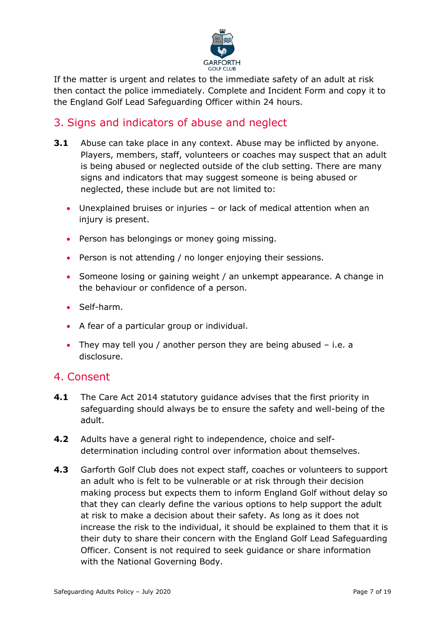

If the matter is urgent and relates to the immediate safety of an adult at risk then contact the police immediately. Complete and Incident Form and copy it to the England Golf Lead Safeguarding Officer within 24 hours.

## <span id="page-6-0"></span>3. Signs and indicators of abuse and neglect

- **3.1** Abuse can take place in any context. Abuse may be inflicted by anyone. Players, members, staff, volunteers or coaches may suspect that an adult is being abused or neglected outside of the club setting. There are many signs and indicators that may suggest someone is being abused or neglected, these include but are not limited to:
	- Unexplained bruises or injuries or lack of medical attention when an injury is present.
	- Person has belongings or money going missing.
	- Person is not attending / no longer enjoying their sessions.
	- Someone losing or gaining weight / an unkempt appearance. A change in the behaviour or confidence of a person.
	- Self-harm.
	- A fear of a particular group or individual.
	- They may tell you / another person they are being abused i.e. a disclosure.

## <span id="page-6-1"></span>4. Consent

- **4.1** The Care Act 2014 statutory guidance advises that the first priority in safeguarding should always be to ensure the safety and well-being of the adult.
- **4.2** Adults have a general right to independence, choice and selfdetermination including control over information about themselves.
- **4.3** Garforth Golf Club does not expect staff, coaches or volunteers to support an adult who is felt to be vulnerable or at risk through their decision making process but expects them to inform England Golf without delay so that they can clearly define the various options to help support the adult at risk to make a decision about their safety. As long as it does not increase the risk to the individual, it should be explained to them that it is their duty to share their concern with the England Golf Lead Safeguarding Officer. Consent is not required to seek guidance or share information with the National Governing Body.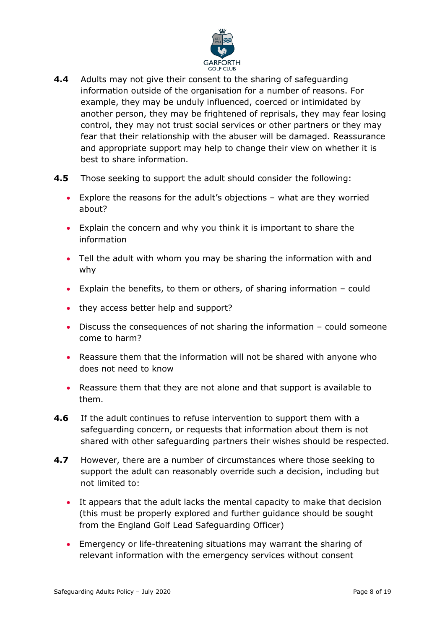

- **4.4** Adults may not give their consent to the sharing of safeguarding information outside of the organisation for a number of reasons. For example, they may be unduly influenced, coerced or intimidated by another person, they may be frightened of reprisals, they may fear losing control, they may not trust social services or other partners or they may fear that their relationship with the abuser will be damaged. Reassurance and appropriate support may help to change their view on whether it is best to share information.
- **4.5** Those seeking to support the adult should consider the following:
	- Explore the reasons for the adult's objections what are they worried about?
	- Explain the concern and why you think it is important to share the information
	- Tell the adult with whom you may be sharing the information with and why
	- Explain the benefits, to them or others, of sharing information could
	- they access better help and support?
	- Discuss the consequences of not sharing the information could someone come to harm?
	- Reassure them that the information will not be shared with anyone who does not need to know
	- Reassure them that they are not alone and that support is available to them.
- **4.6** If the adult continues to refuse intervention to support them with a safeguarding concern, or requests that information about them is not shared with other safeguarding partners their wishes should be respected.
- **4.7** However, there are a number of circumstances where those seeking to support the adult can reasonably override such a decision, including but not limited to:
	- It appears that the adult lacks the mental capacity to make that decision (this must be properly explored and further guidance should be sought from the England Golf Lead Safeguarding Officer)
	- Emergency or life-threatening situations may warrant the sharing of relevant information with the emergency services without consent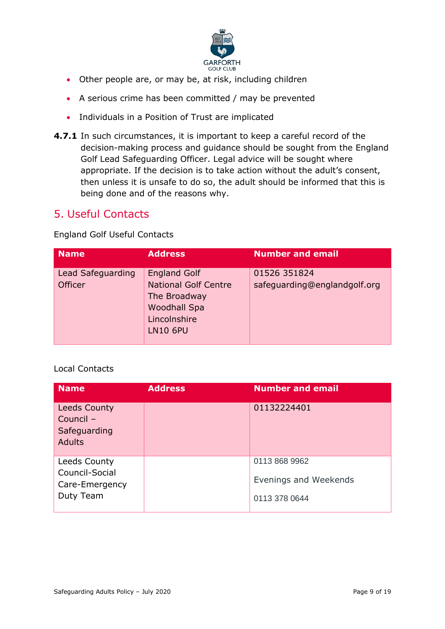

- Other people are, or may be, at risk, including children
- A serious crime has been committed / may be prevented
- Individuals in a Position of Trust are implicated
- **4.7.1** In such circumstances, it is important to keep a careful record of the decision-making process and guidance should be sought from the England Golf Lead Safeguarding Officer. Legal advice will be sought where appropriate. If the decision is to take action without the adult's consent, then unless it is unsafe to do so, the adult should be informed that this is being done and of the reasons why.

## <span id="page-8-0"></span>5. Useful Contacts

England Golf Useful Contacts

| <b>Name</b>                         | <b>Address</b>                                                                                                               | <b>Number and email</b>                      |
|-------------------------------------|------------------------------------------------------------------------------------------------------------------------------|----------------------------------------------|
| Lead Safeguarding<br><b>Officer</b> | <b>England Golf</b><br><b>National Golf Centre</b><br>The Broadway<br><b>Woodhall Spa</b><br>Lincolnshire<br><b>LN10 6PU</b> | 01526 351824<br>safeguarding@englandgolf.org |

#### Local Contacts

| <b>Name</b>                                                       | <b>Address</b> | <b>Number and email</b>                                 |
|-------------------------------------------------------------------|----------------|---------------------------------------------------------|
| <b>Leeds County</b><br>Council -<br>Safeguarding<br><b>Adults</b> |                | 01132224401                                             |
| Leeds County<br>Council-Social<br>Care-Emergency<br>Duty Team     |                | 0113 868 9962<br>Evenings and Weekends<br>0113 378 0644 |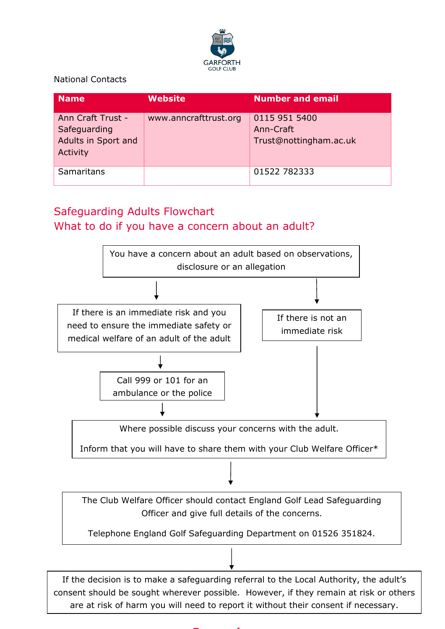

National Contacts

| <b>Name</b>                                                          | <b>Website</b>        | <b>Number and email</b>                              |
|----------------------------------------------------------------------|-----------------------|------------------------------------------------------|
| Ann Craft Trust -<br>Safeguarding<br>Adults in Sport and<br>Activity | www.anncrafttrust.org | 0115 951 5400<br>Ann-Craft<br>Trust@nottingham.ac.uk |
| Samaritans                                                           |                       | 01522 782333                                         |

## <span id="page-9-0"></span>Safeguarding Adults Flowchart What to do if you have a concern about an adult?



are at risk of harm you will need to report it without their consent if necessary.

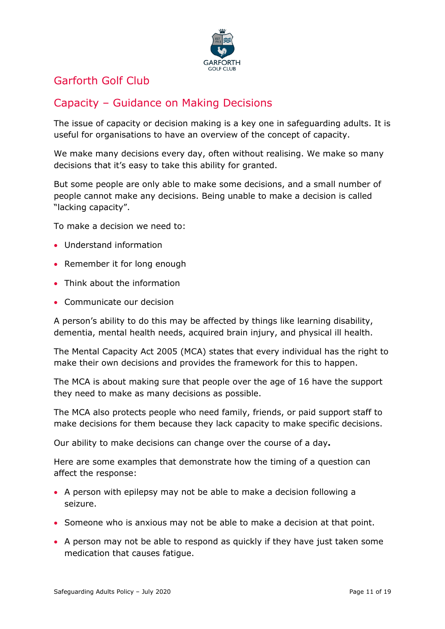

## <span id="page-10-0"></span>Garforth Golf Club

## Capacity – Guidance on Making Decisions

The issue of capacity or decision making is a key one in safeguarding adults. It is useful for organisations to have an overview of the concept of capacity.

We make many decisions every day, often without realising. We make so many decisions that it's easy to take this ability for granted.

But some people are only able to make some decisions, and a small number of people cannot make any decisions. Being unable to make a decision is called "lacking capacity".

To make a decision we need to:

- Understand information
- Remember it for long enough
- Think about the information
- Communicate our decision

A person's ability to do this may be affected by things like learning disability, dementia, mental health needs, acquired brain injury, and physical ill health.

The Mental Capacity Act 2005 (MCA) states that every individual has the right to make their own decisions and provides the framework for this to happen.

The MCA is about making sure that people over the age of 16 have the support they need to make as many decisions as possible.

The MCA also protects people who need family, friends, or paid support staff to make decisions for them because they lack capacity to make specific decisions.

Our ability to make decisions can change over the course of a day**.**

Here are some examples that demonstrate how the timing of a question can affect the response:

- A person with epilepsy may not be able to make a decision following a seizure.
- Someone who is anxious may not be able to make a decision at that point.
- A person may not be able to respond as quickly if they have just taken some medication that causes fatigue.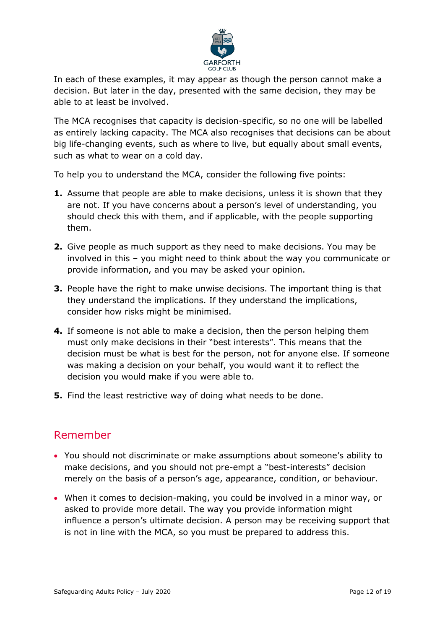

In each of these examples, it may appear as though the person cannot make a decision. But later in the day, presented with the same decision, they may be able to at least be involved.

The MCA recognises that capacity is decision-specific, so no one will be labelled as entirely lacking capacity. The MCA also recognises that decisions can be about big life-changing events, such as where to live, but equally about small events, such as what to wear on a cold day.

To help you to understand the MCA, consider the following five points:

- **1.** Assume that people are able to make decisions, unless it is shown that they are not. If you have concerns about a person's level of understanding, you should check this with them, and if applicable, with the people supporting them.
- **2.** Give people as much support as they need to make decisions. You may be involved in this – you might need to think about the way you communicate or provide information, and you may be asked your opinion.
- **3.** People have the right to make unwise decisions. The important thing is that they understand the implications. If they understand the implications, consider how risks might be minimised.
- **4.** If someone is not able to make a decision, then the person helping them must only make decisions in their "best interests". This means that the decision must be what is best for the person, not for anyone else. If someone was making a decision on your behalf, you would want it to reflect the decision you would make if you were able to.
- **5.** Find the least restrictive way of doing what needs to be done.

## Remember

- You should not discriminate or make assumptions about someone's ability to make decisions, and you should not pre-empt a "best-interests" decision merely on the basis of a person's age, appearance, condition, or behaviour.
- When it comes to decision-making, you could be involved in a minor way, or asked to provide more detail. The way you provide information might influence a person's ultimate decision. A person may be receiving support that is not in line with the MCA, so you must be prepared to address this.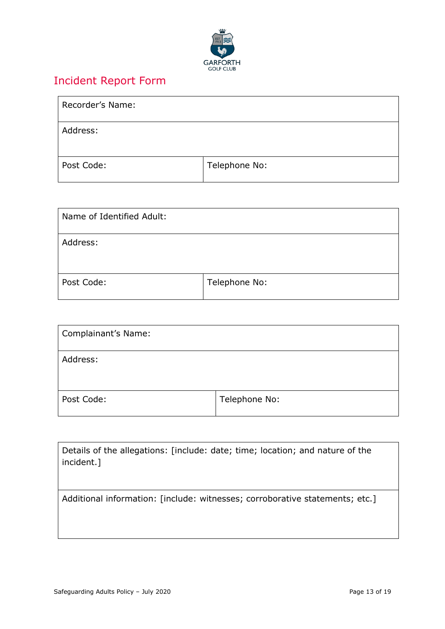

## <span id="page-12-0"></span>Incident Report Form

| Recorder's Name: |               |
|------------------|---------------|
| Address:         |               |
| Post Code:       | Telephone No: |

| Name of Identified Adult: |               |
|---------------------------|---------------|
| Address:                  |               |
| Post Code:                | Telephone No: |

| Complainant's Name: |               |
|---------------------|---------------|
| Address:            |               |
| Post Code:          | Telephone No: |

| Details of the allegations: [include: date; time; location; and nature of the<br>incident.] |
|---------------------------------------------------------------------------------------------|
| Additional information: [include: witnesses; corroborative statements; etc.]                |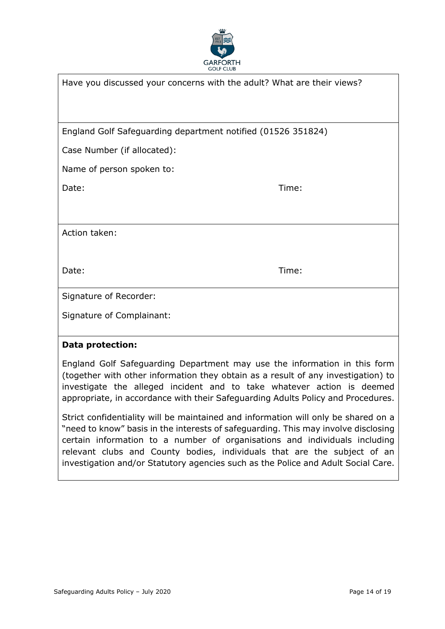

| Have you discussed your concerns with the adult? What are their views? |       |
|------------------------------------------------------------------------|-------|
|                                                                        |       |
| England Golf Safeguarding department notified (01526 351824)           |       |
| Case Number (if allocated):                                            |       |
| Name of person spoken to:                                              |       |
| Date:                                                                  | Time: |
|                                                                        |       |
| Action taken:                                                          |       |
|                                                                        |       |
| Date:                                                                  | Time: |
| Signature of Recorder:                                                 |       |
| Signature of Complainant:                                              |       |
| <b>Data protection:</b>                                                |       |

England Golf Safeguarding Department may use the information in this form (together with other information they obtain as a result of any investigation) to investigate the alleged incident and to take whatever action is deemed appropriate, in accordance with their Safeguarding Adults Policy and Procedures.

Strict confidentiality will be maintained and information will only be shared on a "need to know" basis in the interests of safeguarding. This may involve disclosing certain information to a number of organisations and individuals including relevant clubs and County bodies, individuals that are the subject of an investigation and/or Statutory agencies such as the Police and Adult Social Care.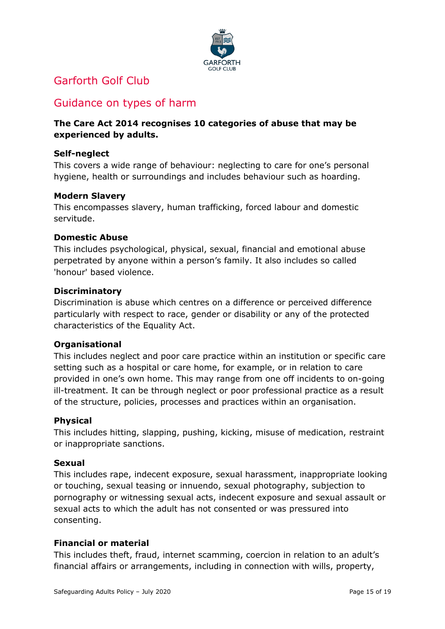

## <span id="page-14-0"></span>Garforth Golf Club

## Guidance on types of harm

#### **The Care Act 2014 recognises 10 categories of abuse that may be experienced by adults.**

#### **Self-neglect**

This covers a wide range of behaviour: neglecting to care for one's personal hygiene, health or surroundings and includes behaviour such as hoarding.

#### **Modern Slavery**

This encompasses slavery, human trafficking, forced labour and domestic servitude.

#### **Domestic Abuse**

This includes psychological, physical, sexual, financial and emotional abuse perpetrated by anyone within a person's family. It also includes so called 'honour' based violence.

#### **Discriminatory**

Discrimination is abuse which centres on a difference or perceived difference particularly with respect to race, gender or disability or any of the protected characteristics of the Equality Act.

#### **Organisational**

This includes neglect and poor care practice within an institution or specific care setting such as a hospital or care home, for example, or in relation to care provided in one's own home. This may range from one off incidents to on-going ill-treatment. It can be through neglect or poor professional practice as a result of the structure, policies, processes and practices within an organisation.

#### **Physical**

This includes hitting, slapping, pushing, kicking, misuse of medication, restraint or inappropriate sanctions.

#### **Sexual**

This includes rape, indecent exposure, sexual harassment, inappropriate looking or touching, sexual teasing or innuendo, sexual photography, subjection to pornography or witnessing sexual acts, indecent exposure and sexual assault or sexual acts to which the adult has not consented or was pressured into consenting.

#### **Financial or material**

This includes theft, fraud, internet scamming, coercion in relation to an adult's financial affairs or arrangements, including in connection with wills, property,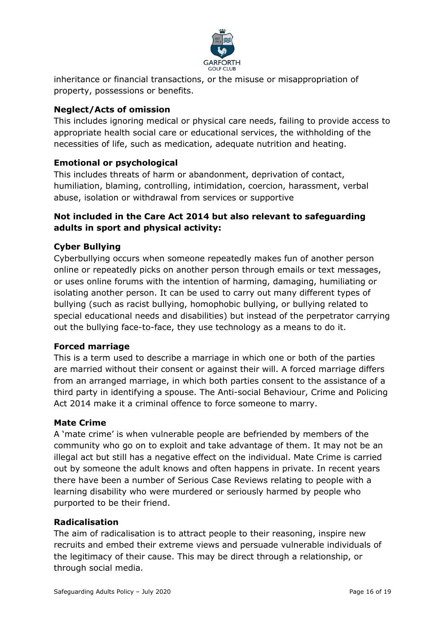

inheritance or financial transactions, or the misuse or misappropriation of property, possessions or benefits.

#### **Neglect/Acts of omission**

This includes ignoring medical or physical care needs, failing to provide access to appropriate health social care or educational services, the withholding of the necessities of life, such as medication, adequate nutrition and heating.

#### **Emotional or psychological**

This includes threats of harm or abandonment, deprivation of contact, humiliation, blaming, controlling, intimidation, coercion, harassment, verbal abuse, isolation or withdrawal from services or supportive

#### **Not included in the Care Act 2014 but also relevant to safeguarding adults in sport and physical activity:**

#### **Cyber Bullying**

Cyberbullying occurs when someone repeatedly makes fun of another person online or repeatedly picks on another person through emails or text messages, or uses online forums with the intention of harming, damaging, humiliating or isolating another person. It can be used to carry out many different types of bullying (such as racist bullying, homophobic bullying, or bullying related to special educational needs and disabilities) but instead of the perpetrator carrying out the bullying face-to-face, they use technology as a means to do it.

#### **Forced marriage**

This is a term used to describe a marriage in which one or both of the parties are married without their consent or against their will. A forced marriage differs from an arranged marriage, in which both parties consent to the assistance of a third party in identifying a spouse. The Anti-social Behaviour, Crime and Policing Act 2014 make it a criminal offence to force someone to marry.

#### **Mate Crime**

A 'mate crime' is when vulnerable people are befriended by members of the community who go on to exploit and take advantage of them. It may not be an illegal act but still has a negative effect on the individual. Mate Crime is carried out by someone the adult knows and often happens in private. In recent years there have been a number of Serious Case Reviews relating to people with a learning disability who were murdered or seriously harmed by people who purported to be their friend.

#### **Radicalisation**

The aim of radicalisation is to attract people to their reasoning, inspire new recruits and embed their extreme views and persuade vulnerable individuals of the legitimacy of their cause. This may be direct through a relationship, or through social media.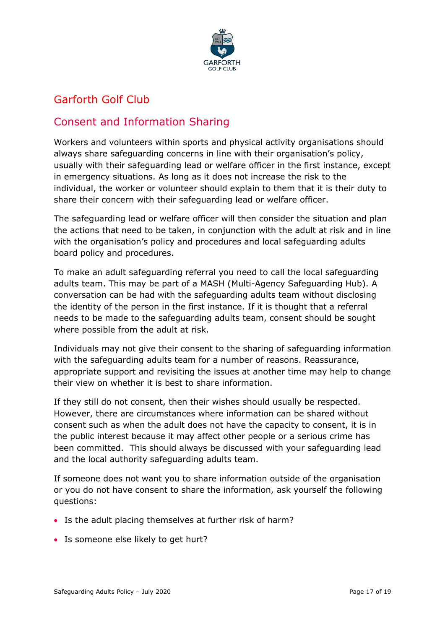

## <span id="page-16-0"></span>Garforth Golf Club

## Consent and Information Sharing

Workers and volunteers within sports and physical activity organisations should always share safeguarding concerns in line with their organisation's policy, usually with their safeguarding lead or welfare officer in the first instance, except in emergency situations. As long as it does not increase the risk to the individual, the worker or volunteer should explain to them that it is their duty to share their concern with their safeguarding lead or welfare officer.

The safeguarding lead or welfare officer will then consider the situation and plan the actions that need to be taken, in conjunction with the adult at risk and in line with the organisation's policy and procedures and local safeguarding adults board policy and procedures.

To make an adult safeguarding referral you need to call the local safeguarding adults team. This may be part of a MASH (Multi*-*Agency Safeguarding Hub). A conversation can be had with the safeguarding adults team without disclosing the identity of the person in the first instance. If it is thought that a referral needs to be made to the safeguarding adults team, consent should be sought where possible from the adult at risk.

Individuals may not give their consent to the sharing of safeguarding information with the safeguarding adults team for a number of reasons. Reassurance, appropriate support and revisiting the issues at another time may help to change their view on whether it is best to share information.

If they still do not consent, then their wishes should usually be respected. However, there are circumstances where information can be shared without consent such as when the adult does not have the capacity to consent, it is in the public interest because it may affect other people or a serious crime has been committed. This should always be discussed with your safeguarding lead and the local authority safeguarding adults team.

If someone does not want you to share information outside of the organisation or you do not have consent to share the information, ask yourself the following questions:

- Is the adult placing themselves at further risk of harm?
- Is someone else likely to get hurt?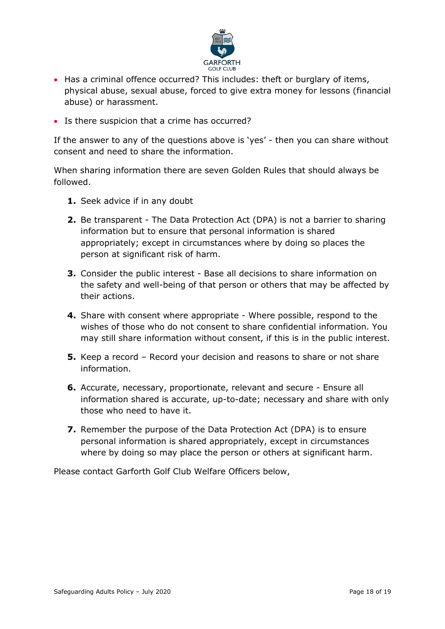

- Has a criminal offence occurred? This includes: theft or burglary of items, physical abuse, sexual abuse, forced to give extra money for lessons (financial abuse) or harassment.
- Is there suspicion that a crime has occurred?

If the answer to any of the questions above is 'yes' - then you can share without consent and need to share the information.

When sharing information there are seven Golden Rules that should always be followed.

- **1.** Seek advice if in any doubt
- **2.** Be transparent The Data Protection Act (DPA) is not a barrier to sharing information but to ensure that personal information is shared appropriately; except in circumstances where by doing so places the person at significant risk of harm.
- **3.** Consider the public interest Base all decisions to share information on the safety and well-being of that person or others that may be affected by their actions.
- **4.** Share with consent where appropriate Where possible, respond to the wishes of those who do not consent to share confidential information. You may still share information without consent, if this is in the public interest.
- **5.** Keep a record Record your decision and reasons to share or not share information.
- **6.** Accurate, necessary, proportionate, relevant and secure Ensure all information shared is accurate, up-to-date; necessary and share with only those who need to have it.
- **7.** Remember the purpose of the Data Protection Act (DPA) is to ensure personal information is shared appropriately, except in circumstances where by doing so may place the person or others at significant harm.

Please contact Garforth Golf Club Welfare Officers below,